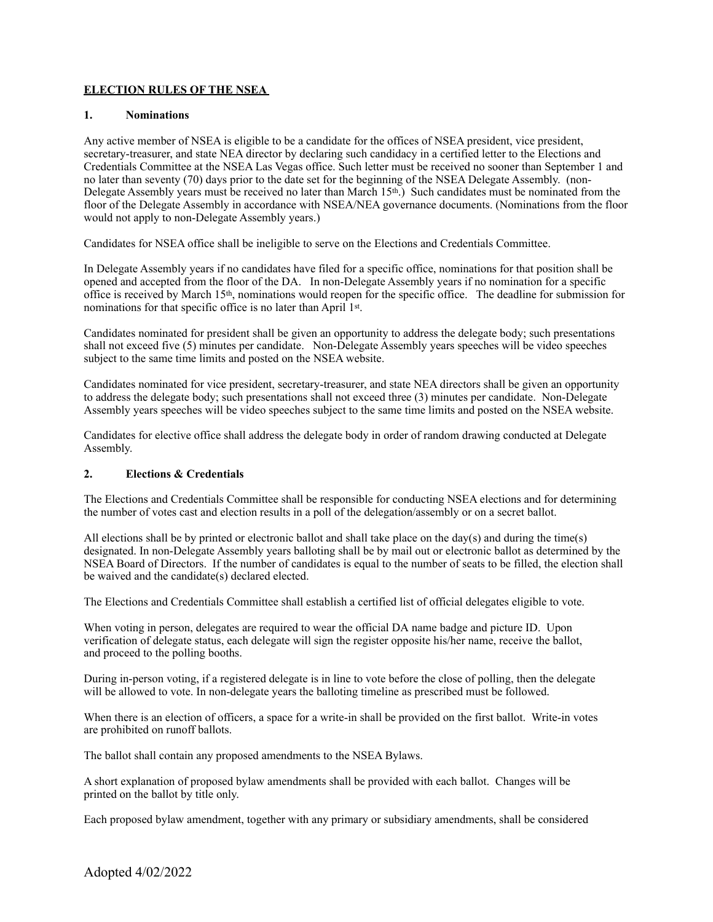# **ELECTION RULES OF THE NSEA**

#### **1. Nominations**

Any active member of NSEA is eligible to be a candidate for the offices of NSEA president, vice president, secretary-treasurer, and state NEA director by declaring such candidacy in a certified letter to the Elections and Credentials Committee at the NSEA Las Vegas office. Such letter must be received no sooner than September 1 and no later than seventy (70) days prior to the date set for the beginning of the NSEA Delegate Assembly. (non-Delegate Assembly years must be received no later than March 15th.) Such candidates must be nominated from the floor of the Delegate Assembly in accordance with NSEA/NEA governance documents. (Nominations from the floor would not apply to non-Delegate Assembly years.)

Candidates for NSEA office shall be ineligible to serve on the Elections and Credentials Committee.

In Delegate Assembly years if no candidates have filed for a specific office, nominations for that position shall be opened and accepted from the floor of the DA. In non-Delegate Assembly years if no nomination for a specific office is received by March 15th, nominations would reopen for the specific office. The deadline for submission for nominations for that specific office is no later than April 1st.

Candidates nominated for president shall be given an opportunity to address the delegate body; such presentations shall not exceed five (5) minutes per candidate. Non-Delegate Assembly years speeches will be video speeches subject to the same time limits and posted on the NSEA website.

Candidates nominated for vice president, secretary-treasurer, and state NEA directors shall be given an opportunity to address the delegate body; such presentations shall not exceed three (3) minutes per candidate. Non-Delegate Assembly years speeches will be video speeches subject to the same time limits and posted on the NSEA website.

Candidates for elective office shall address the delegate body in order of random drawing conducted at Delegate Assembly.

### **2. Elections & Credentials**

The Elections and Credentials Committee shall be responsible for conducting NSEA elections and for determining the number of votes cast and election results in a poll of the delegation/assembly or on a secret ballot.

All elections shall be by printed or electronic ballot and shall take place on the day(s) and during the time(s) designated. In non-Delegate Assembly years balloting shall be by mail out or electronic ballot as determined by the NSEA Board of Directors. If the number of candidates is equal to the number of seats to be filled, the election shall be waived and the candidate(s) declared elected.

The Elections and Credentials Committee shall establish a certified list of official delegates eligible to vote.

When voting in person, delegates are required to wear the official DA name badge and picture ID. Upon verification of delegate status, each delegate will sign the register opposite his/her name, receive the ballot, and proceed to the polling booths.

During in-person voting, if a registered delegate is in line to vote before the close of polling, then the delegate will be allowed to vote. In non-delegate years the balloting timeline as prescribed must be followed.

When there is an election of officers, a space for a write-in shall be provided on the first ballot. Write-in votes are prohibited on runoff ballots.

The ballot shall contain any proposed amendments to the NSEA Bylaws.

A short explanation of proposed bylaw amendments shall be provided with each ballot. Changes will be printed on the ballot by title only.

Each proposed bylaw amendment, together with any primary or subsidiary amendments, shall be considered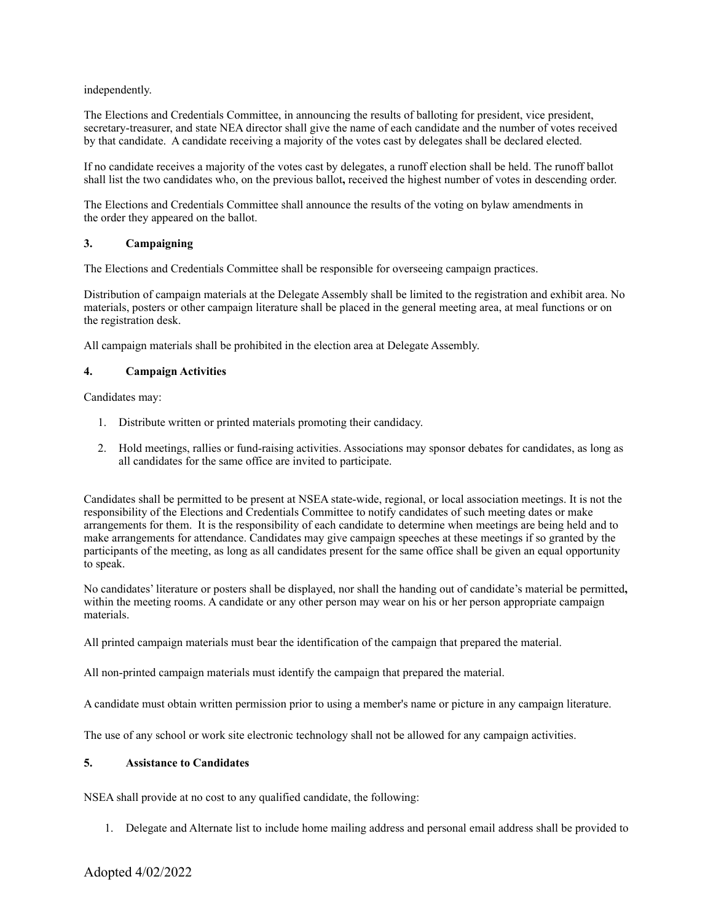### independently.

The Elections and Credentials Committee, in announcing the results of balloting for president, vice president, secretary-treasurer, and state NEA director shall give the name of each candidate and the number of votes received by that candidate. A candidate receiving a majority of the votes cast by delegates shall be declared elected.

If no candidate receives a majority of the votes cast by delegates, a runoff election shall be held. The runoff ballot shall list the two candidates who, on the previous ballot**,** received the highest number of votes in descending order.

The Elections and Credentials Committee shall announce the results of the voting on bylaw amendments in the order they appeared on the ballot.

### **3. Campaigning**

The Elections and Credentials Committee shall be responsible for overseeing campaign practices.

Distribution of campaign materials at the Delegate Assembly shall be limited to the registration and exhibit area. No materials, posters or other campaign literature shall be placed in the general meeting area, at meal functions or on the registration desk.

All campaign materials shall be prohibited in the election area at Delegate Assembly.

### **4. Campaign Activities**

Candidates may:

- 1. Distribute written or printed materials promoting their candidacy.
- 2. Hold meetings, rallies or fund-raising activities. Associations may sponsor debates for candidates, as long as all candidates for the same office are invited to participate.

Candidates shall be permitted to be present at NSEA state-wide, regional, or local association meetings. It is not the responsibility of the Elections and Credentials Committee to notify candidates of such meeting dates or make arrangements for them. It is the responsibility of each candidate to determine when meetings are being held and to make arrangements for attendance. Candidates may give campaign speeches at these meetings if so granted by the participants of the meeting, as long as all candidates present for the same office shall be given an equal opportunity to speak.

No candidates' literature or posters shall be displayed, nor shall the handing out of candidate's material be permitted**,** within the meeting rooms. A candidate or any other person may wear on his or her person appropriate campaign materials.

All printed campaign materials must bear the identification of the campaign that prepared the material.

All non-printed campaign materials must identify the campaign that prepared the material.

A candidate must obtain written permission prior to using a member's name or picture in any campaign literature.

The use of any school or work site electronic technology shall not be allowed for any campaign activities.

#### **5. Assistance to Candidates**

NSEA shall provide at no cost to any qualified candidate, the following:

1. Delegate and Alternate list to include home mailing address and personal email address shall be provided to